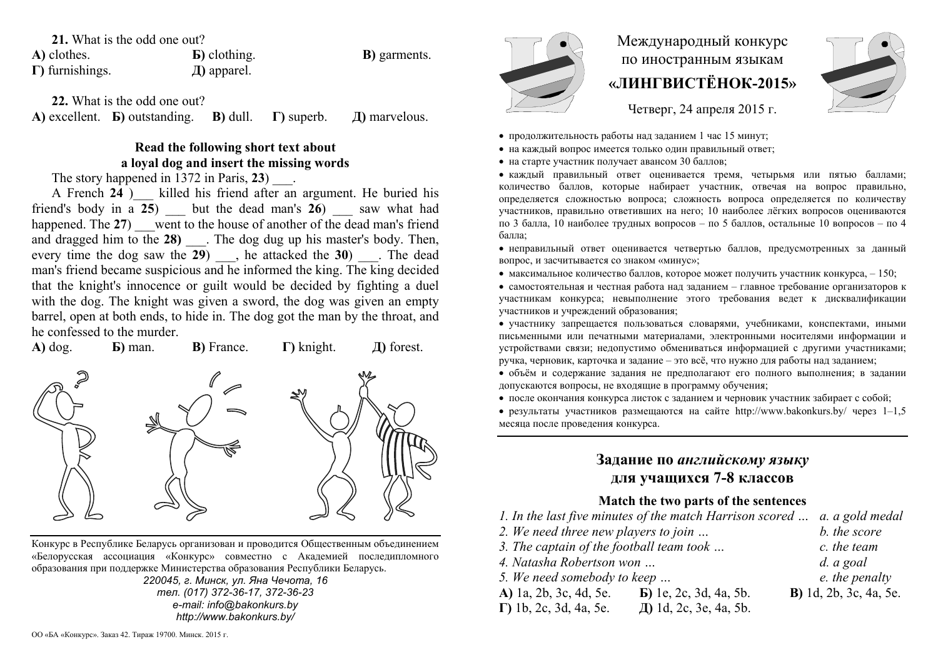#### **21.** What is the odd one out?

**А)** clothes. **Б)** clothing. **В)** garments. **Г)** furnishings. **Д)** apparel.

**22.** What is the odd one out?

**А)** excellent. **Б)** outstanding. **В)** dull. **Г)** superb. **Д)** marvelous.

### **Read the following short text about a loyal dog and insert the missing words**

The story happened in 1372 in Paris, 23)  $\qquad$ .

A French 24 ) a killed his friend after an argument. He buried his friend's body in a **25**) \_\_\_ but the dead man's **26**) \_\_\_ saw what had happened. The 27) went to the house of another of the dead man's friend and dragged him to the 28) . The dog dug up his master's body. Then, every time the dog saw the **29**), he attacked the **30**). The dead man's friend became suspicious and he informed the king. The king decided that the knight's innocence or guilt would be decided by fighting a duel with the dog. The knight was given a sword, the dog was given an empty barrel, open at both ends, to hide in. The dog got the man by the throat, and he confessed to the murder.



Конкурс <sup>в</sup> Республике Беларусь организован <sup>и</sup> проводится Общественным объединением «Белорусская ассоциация «Конкурс» совместно <sup>с</sup> Академией последипломного образования при поддержке Министерства образования Республики Беларусь.

> *220045, <sup>г</sup>. Минск, ул. Яна Чечота, 16 тел. (017) 372-36-17, 372-36-23 e-mail: info@bakonkurs.by http://www.bakonkurs.by/*



# Международный конкурс по иностранным языкам **«ЛИНГВИСТЁНОК-2015»**



Четверг, 24 апреля 2015 <sup>г</sup>.

- продолжительность работы над заданием 1 час 15 минут;
- на каждый вопрос имеется только один правильный ответ;
- на старте участник получает авансом 30 баллов;

 каждый правильный ответ оценивается тремя, четырьмя или пятью баллами; количество баллов, которые набирает участник, отвечая на вопрос правильно, определяется сложностью вопроса; сложность вопроса определяется по количеству участников, правильно ответивших на него; 10 наиболее лёгких вопросов оцениваются по 3 балла, 10 наиболее трудных вопросов – по 5 баллов, остальные 10 вопросов – по 4 балла;

 неправильный ответ оценивается четвертью баллов, предусмотренных за данный вопрос, <sup>и</sup> засчитывается со знаком «минус»;

- максимальное количество баллов, которое может получить участник конкурса,  $-150$ ;
- самостоятельная и честная работа над заданием главное требование организаторов <sup>к</sup> участникам конкурса; невыполнение этого требования ведет <sup>к</sup> дисквалификации участников <sup>и</sup> учреждений образования;
- участнику запрещается пользоваться словарями, учебниками, конспектами, иными письменными или печатными материалами, электронными носителями информации <sup>и</sup> устройствами связи; недопустимо обмениваться информацией <sup>с</sup> другими участниками; ручка, черновик, карточка <sup>и</sup> задание – это всё, что нужно для работы над заданием;
- объём <sup>и</sup> содержание задания не предполагают его полного выполнения; <sup>в</sup> задании допускаются вопросы, не входящие <sup>в</sup> программу обучения;
- после окончания конкурса листок <sup>с</sup> заданием <sup>и</sup> черновик участник забирает <sup>с</sup> собой;
- результаты участников размещаются на сайте http://www.bakonkurs.by/ через  $1-1,5$ месяца после проведения конкурса.

## **Задание по** *английскому языку* **для учащихся 7-8 классов**

### **Match the two parts of the sentences**

| 1. In the last five minutes of the match Harrison scored  a. a gold medal |                                |                                |
|---------------------------------------------------------------------------|--------------------------------|--------------------------------|
| 2. We need three new players to join                                      |                                | b. the score                   |
| 3. The captain of the football team took                                  | c. the team                    |                                |
| 4. Natasha Robertson won                                                  | $d.$ a goal                    |                                |
| 5. We need somebody to keep                                               |                                | e. the penalty                 |
| A) 1a, 2b, 3c, 4d, 5e.                                                    | <b>b</b> ) 1e, 2c, 3d, 4a, 5b. | <b>B</b> ) 1d, 2b, 3c, 4a, 5e. |
| $\Gamma$ ) 1b, 2c, 3d, 4a, 5e.                                            | Д) 1d, 2c, 3e, 4a, 5b.         |                                |